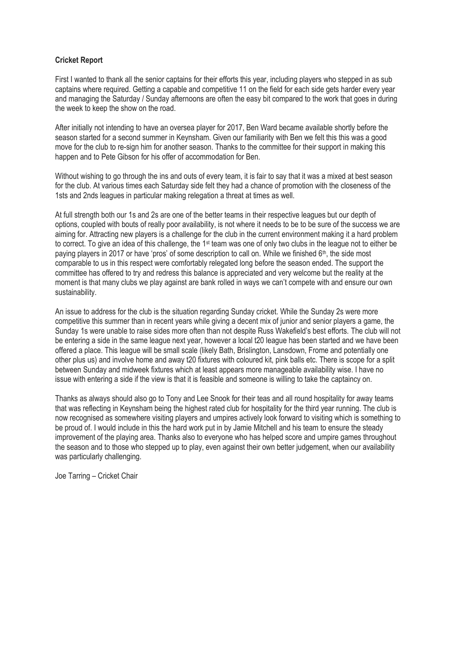## **Cricket Report**

First I wanted to thank all the senior captains for their efforts this year, including players who stepped in as sub captains where required. Getting a capable and competitive 11 on the field for each side gets harder every year and managing the Saturday / Sunday afternoons are often the easy bit compared to the work that goes in during the week to keep the show on the road.

After initially not intending to have an oversea player for 2017, Ben Ward became available shortly before the season started for a second summer in Keynsham. Given our familiarity with Ben we felt this this was a good move for the club to re-sign him for another season. Thanks to the committee for their support in making this happen and to Pete Gibson for his offer of accommodation for Ben.

Without wishing to go through the ins and outs of every team, it is fair to say that it was a mixed at best season for the club. At various times each Saturday side felt they had a chance of promotion with the closeness of the 1sts and 2nds leagues in particular making relegation a threat at times as well.

At full strength both our 1s and 2s are one of the better teams in their respective leagues but our depth of options, coupled with bouts of really poor availability, is not where it needs to be to be sure of the success we are aiming for. Attracting new players is a challenge for the club in the current environment making it a hard problem to correct. To give an idea of this challenge, the 1<sup>st</sup> team was one of only two clubs in the league not to either be paying players in 2017 or have 'pros' of some description to call on. While we finished  $6<sup>th</sup>$ , the side most comparable to us in this respect were comfortably relegated long before the season ended. The support the committee has offered to try and redress this balance is appreciated and very welcome but the reality at the moment is that many clubs we play against are bank rolled in ways we can't compete with and ensure our own sustainability.

An issue to address for the club is the situation regarding Sunday cricket. While the Sunday 2s were more competitive this summer than in recent years while giving a decent mix of junior and senior players a game, the Sunday 1s were unable to raise sides more often than not despite Russ Wakefield's best efforts. The club will not be entering a side in the same league next year, however a local t20 league has been started and we have been offered a place. This league will be small scale (likely Bath, Brislington, Lansdown, Frome and potentially one other plus us) and involve home and away t20 fixtures with coloured kit, pink balls etc. There is scope for a split between Sunday and midweek fixtures which at least appears more manageable availability wise. I have no issue with entering a side if the view is that it is feasible and someone is willing to take the captaincy on.

Thanks as always should also go to Tony and Lee Snook for their teas and all round hospitality for away teams that was reflecting in Keynsham being the highest rated club for hospitality for the third year running. The club is now recognised as somewhere visiting players and umpires actively look forward to visiting which is something to be proud of. I would include in this the hard work put in by Jamie Mitchell and his team to ensure the steady improvement of the playing area. Thanks also to everyone who has helped score and umpire games throughout the season and to those who stepped up to play, even against their own better judgement, when our availability was particularly challenging.

Joe Tarring – Cricket Chair